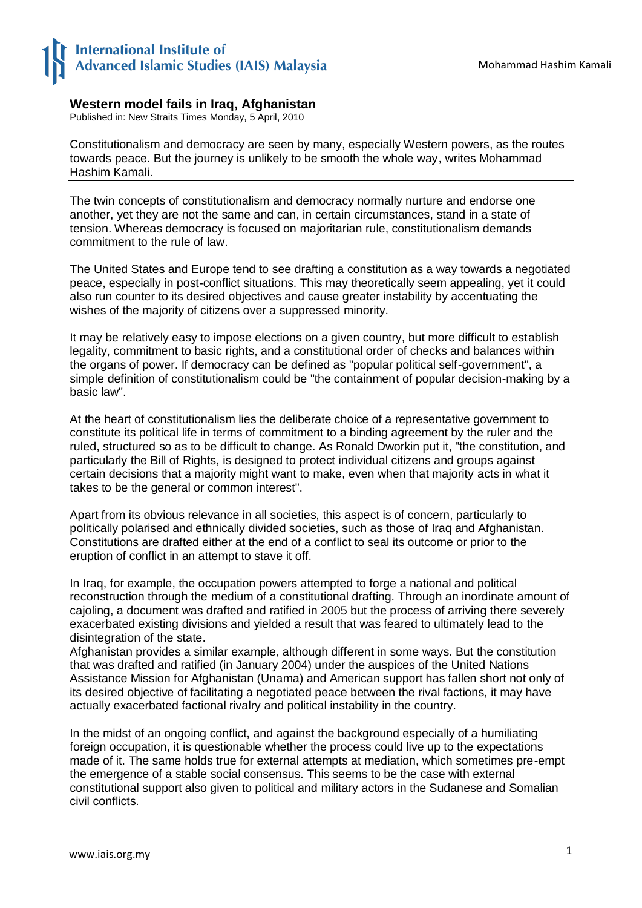## **International Institute of** Advanced Islamic Studies (IAIS) Malaysia

## **Western model fails in Iraq, Afghanistan**

Published in: New Straits Times Monday, 5 April, 2010

Constitutionalism and democracy are seen by many, especially Western powers, as the routes towards peace. But the journey is unlikely to be smooth the whole way, writes Mohammad Hashim Kamali.

The twin concepts of constitutionalism and democracy normally nurture and endorse one another, yet they are not the same and can, in certain circumstances, stand in a state of tension. Whereas democracy is focused on majoritarian rule, constitutionalism demands commitment to the rule of law.

The United States and Europe tend to see drafting a constitution as a way towards a negotiated peace, especially in post-conflict situations. This may theoretically seem appealing, yet it could also run counter to its desired objectives and cause greater instability by accentuating the wishes of the majority of citizens over a suppressed minority.

It may be relatively easy to impose elections on a given country, but more difficult to establish legality, commitment to basic rights, and a constitutional order of checks and balances within the organs of power. If democracy can be defined as "popular political self-government", a simple definition of constitutionalism could be "the containment of popular decision-making by a basic law".

At the heart of constitutionalism lies the deliberate choice of a representative government to constitute its political life in terms of commitment to a binding agreement by the ruler and the ruled, structured so as to be difficult to change. As Ronald Dworkin put it, "the constitution, and particularly the Bill of Rights, is designed to protect individual citizens and groups against certain decisions that a majority might want to make, even when that majority acts in what it takes to be the general or common interest".

Apart from its obvious relevance in all societies, this aspect is of concern, particularly to politically polarised and ethnically divided societies, such as those of Iraq and Afghanistan. Constitutions are drafted either at the end of a conflict to seal its outcome or prior to the eruption of conflict in an attempt to stave it off.

In Iraq, for example, the occupation powers attempted to forge a national and political reconstruction through the medium of a constitutional drafting. Through an inordinate amount of cajoling, a document was drafted and ratified in 2005 but the process of arriving there severely exacerbated existing divisions and yielded a result that was feared to ultimately lead to the disintegration of the state.

Afghanistan provides a similar example, although different in some ways. But the constitution that was drafted and ratified (in January 2004) under the auspices of the United Nations Assistance Mission for Afghanistan (Unama) and American support has fallen short not only of its desired objective of facilitating a negotiated peace between the rival factions, it may have actually exacerbated factional rivalry and political instability in the country.

In the midst of an ongoing conflict, and against the background especially of a humiliating foreign occupation, it is questionable whether the process could live up to the expectations made of it. The same holds true for external attempts at mediation, which sometimes pre-empt the emergence of a stable social consensus. This seems to be the case with external constitutional support also given to political and military actors in the Sudanese and Somalian civil conflicts.